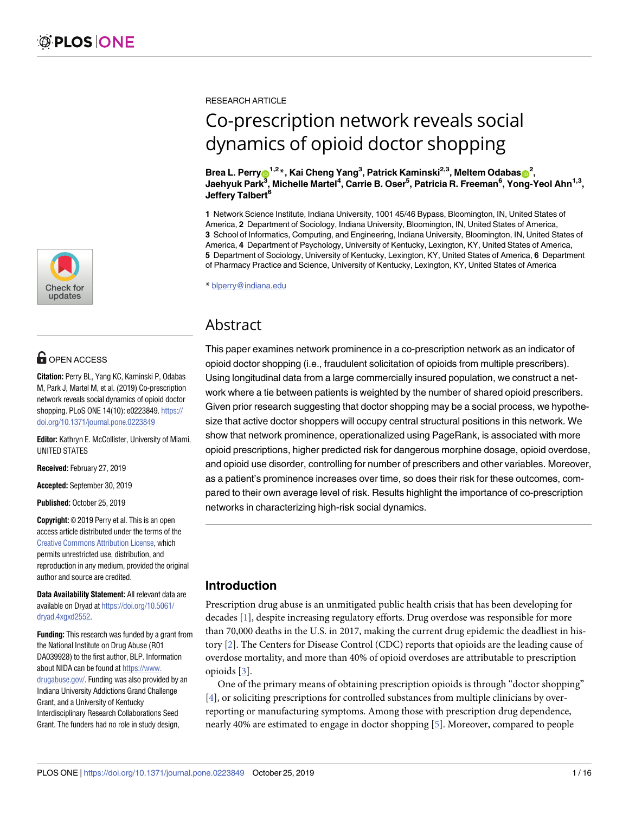

# **OPEN ACCESS**

**Citation:** Perry BL, Yang KC, Kaminski P, Odabas M, Park J, Martel M, et al. (2019) Co-prescription network reveals social dynamics of opioid doctor shopping. PLoS ONE 14(10): e0223849. [https://](https://doi.org/10.1371/journal.pone.0223849) [doi.org/10.1371/journal.pone.0223849](https://doi.org/10.1371/journal.pone.0223849)

**Editor:** Kathryn E. McCollister, University of Miami, UNITED STATES

**Received:** February 27, 2019

**Accepted:** September 30, 2019

**Published:** October 25, 2019

**Copyright:** © 2019 Perry et al. This is an open access article distributed under the terms of the Creative Commons [Attribution](http://creativecommons.org/licenses/by/4.0/) License, which permits unrestricted use, distribution, and reproduction in any medium, provided the original author and source are credited.

**Data Availability Statement:** All relevant data are available on Dryad at [https://doi.org/10.5061/](https://doi.org/10.5061/dryad.4xgxd2552) [dryad.4xgxd2552.](https://doi.org/10.5061/dryad.4xgxd2552)

**Funding:** This research was funded by a grant from the National Institute on Drug Abuse (R01 DA039928) to the first author, BLP. Information about NIDA can be found at [https://www.](https://www.drugabuse.gov/) [drugabuse.gov/](https://www.drugabuse.gov/). Funding was also provided by an Indiana University Addictions Grand Challenge Grant, and a University of Kentucky Interdisciplinary Research Collaborations Seed Grant. The funders had no role in study design,

<span id="page-0-0"></span>RESEARCH ARTICLE

# Co-prescription network reveals social dynamics of opioid doctor shopping

 $\mathbf{B}$ rea L. Perry $\mathbf{O}^{1,2}$ \*, Kai Cheng Yang $^3$ , Patrick Kaminski<sup>2,3</sup>, Meltem Odabas $\mathbf{O}^{2},$ **Jaehyuk Park3 , Michelle Martel4 , Carrie B. Oser5 , Patricia R. Freeman6 , Yong-Yeol Ahn1,3, Jeffery Talbert6**

**1** Network Science Institute, Indiana University, 1001 45/46 Bypass, Bloomington, IN, United States of America, **2** Department of Sociology, Indiana University, Bloomington, IN, United States of America, **3** School of Informatics, Computing, and Engineering, Indiana University, Bloomington, IN, United States of America, **4** Department of Psychology, University of Kentucky, Lexington, KY, United States of America, **5** Department of Sociology, University of Kentucky, Lexington, KY, United States of America, **6** Department of Pharmacy Practice and Science, University of Kentucky, Lexington, KY, United States of America

\* blperry@indiana.edu

# Abstract

This paper examines network prominence in a co-prescription network as an indicator of opioid doctor shopping (i.e., fraudulent solicitation of opioids from multiple prescribers). Using longitudinal data from a large commercially insured population, we construct a network where a tie between patients is weighted by the number of shared opioid prescribers. Given prior research suggesting that doctor shopping may be a social process, we hypothesize that active doctor shoppers will occupy central structural positions in this network. We show that network prominence, operationalized using PageRank, is associated with more opioid prescriptions, higher predicted risk for dangerous morphine dosage, opioid overdose, and opioid use disorder, controlling for number of prescribers and other variables. Moreover, as a patient's prominence increases over time, so does their risk for these outcomes, compared to their own average level of risk. Results highlight the importance of co-prescription networks in characterizing high-risk social dynamics.

# **Introduction**

Prescription drug abuse is an unmitigated public health crisis that has been developing for decades [[1\]](#page-13-0), despite increasing regulatory efforts. Drug overdose was responsible for more than 70,000 deaths in the U.S. in 2017, making the current drug epidemic the deadliest in history [[2\]](#page-13-0). The Centers for Disease Control (CDC) reports that opioids are the leading cause of overdose mortality, and more than 40% of opioid overdoses are attributable to prescription opioids [\[3\]](#page-13-0).

One of the primary means of obtaining prescription opioids is through "doctor shopping" [\[4](#page-13-0)], or soliciting prescriptions for controlled substances from multiple clinicians by overreporting or manufacturing symptoms. Among those with prescription drug dependence, nearly 40% are estimated to engage in doctor shopping [\[5\]](#page-13-0). Moreover, compared to people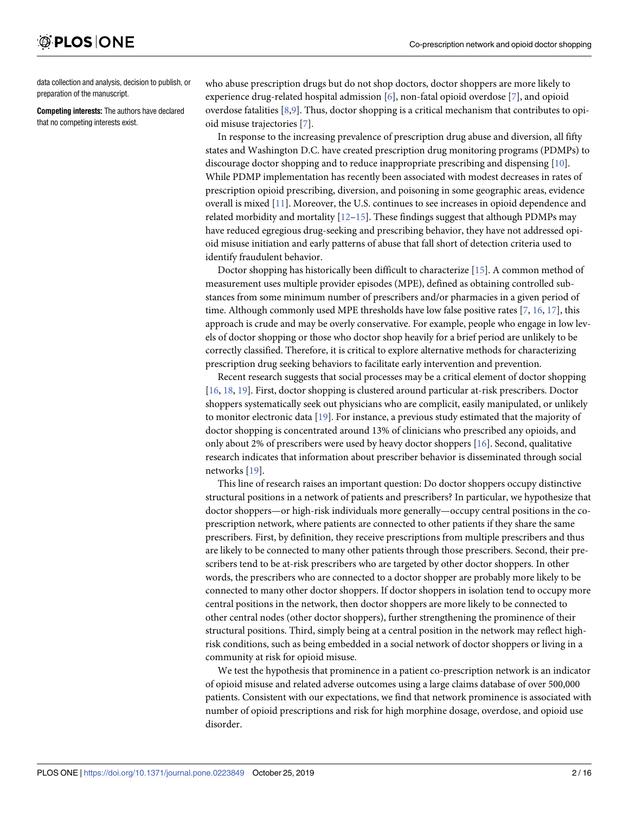<span id="page-1-0"></span>data collection and analysis, decision to publish, or preparation of the manuscript.

**Competing interests:** The authors have declared that no competing interests exist.

who abuse prescription drugs but do not shop doctors, doctor shoppers are more likely to experience drug-related hospital admission [\[6\]](#page-13-0), non-fatal opioid overdose [\[7\]](#page-13-0), and opioid overdose fatalities [[8](#page-14-0),[9\]](#page-14-0). Thus, doctor shopping is a critical mechanism that contributes to opioid misuse trajectories [[7\]](#page-13-0).

In response to the increasing prevalence of prescription drug abuse and diversion, all fifty states and Washington D.C. have created prescription drug monitoring programs (PDMPs) to discourage doctor shopping and to reduce inappropriate prescribing and dispensing [\[10\]](#page-14-0). While PDMP implementation has recently been associated with modest decreases in rates of prescription opioid prescribing, diversion, and poisoning in some geographic areas, evidence overall is mixed [\[11\]](#page-14-0). Moreover, the U.S. continues to see increases in opioid dependence and related morbidity and mortality  $[12–15]$  $[12–15]$ . These findings suggest that although PDMPs may have reduced egregious drug-seeking and prescribing behavior, they have not addressed opioid misuse initiation and early patterns of abuse that fall short of detection criteria used to identify fraudulent behavior.

Doctor shopping has historically been difficult to characterize [\[15\]](#page-14-0). A common method of measurement uses multiple provider episodes (MPE), defined as obtaining controlled substances from some minimum number of prescribers and/or pharmacies in a given period of time. Although commonly used MPE thresholds have low false positive rates [\[7](#page-13-0), [16](#page-14-0), [17\]](#page-14-0), this approach is crude and may be overly conservative. For example, people who engage in low levels of doctor shopping or those who doctor shop heavily for a brief period are unlikely to be correctly classified. Therefore, it is critical to explore alternative methods for characterizing prescription drug seeking behaviors to facilitate early intervention and prevention.

Recent research suggests that social processes may be a critical element of doctor shopping [\[16,](#page-14-0) [18,](#page-14-0) [19\]](#page-14-0). First, doctor shopping is clustered around particular at-risk prescribers. Doctor shoppers systematically seek out physicians who are complicit, easily manipulated, or unlikely to monitor electronic data [[19](#page-14-0)]. For instance, a previous study estimated that the majority of doctor shopping is concentrated around 13% of clinicians who prescribed any opioids, and only about 2% of prescribers were used by heavy doctor shoppers [\[16\]](#page-14-0). Second, qualitative research indicates that information about prescriber behavior is disseminated through social networks [\[19](#page-14-0)].

This line of research raises an important question: Do doctor shoppers occupy distinctive structural positions in a network of patients and prescribers? In particular, we hypothesize that doctor shoppers—or high-risk individuals more generally—occupy central positions in the coprescription network, where patients are connected to other patients if they share the same prescribers. First, by definition, they receive prescriptions from multiple prescribers and thus are likely to be connected to many other patients through those prescribers. Second, their prescribers tend to be at-risk prescribers who are targeted by other doctor shoppers. In other words, the prescribers who are connected to a doctor shopper are probably more likely to be connected to many other doctor shoppers. If doctor shoppers in isolation tend to occupy more central positions in the network, then doctor shoppers are more likely to be connected to other central nodes (other doctor shoppers), further strengthening the prominence of their structural positions. Third, simply being at a central position in the network may reflect highrisk conditions, such as being embedded in a social network of doctor shoppers or living in a community at risk for opioid misuse.

We test the hypothesis that prominence in a patient co-prescription network is an indicator of opioid misuse and related adverse outcomes using a large claims database of over 500,000 patients. Consistent with our expectations, we find that network prominence is associated with number of opioid prescriptions and risk for high morphine dosage, overdose, and opioid use disorder.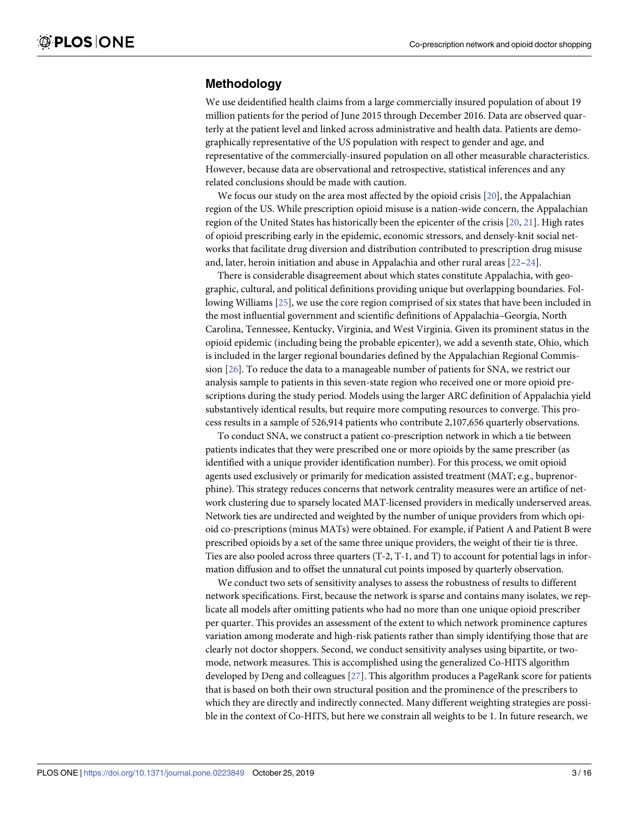## <span id="page-2-0"></span>**Methodology**

We use deidentified health claims from a large commercially insured population of about 19 million patients for the period of June 2015 through December 2016. Data are observed quarterly at the patient level and linked across administrative and health data. Patients are demographically representative of the US population with respect to gender and age, and representative of the commercially-insured population on all other measurable characteristics. However, because data are observational and retrospective, statistical inferences and any related conclusions should be made with caution.

We focus our study on the area most affected by the opioid crisis [[20](#page-14-0)], the Appalachian region of the US. While prescription opioid misuse is a nation-wide concern, the Appalachian region of the United States has historically been the epicenter of the crisis [[20](#page-14-0), [21](#page-14-0)]. High rates of opioid prescribing early in the epidemic, economic stressors, and densely-knit social networks that facilitate drug diversion and distribution contributed to prescription drug misuse and, later, heroin initiation and abuse in Appalachia and other rural areas [\[22–24\]](#page-14-0).

There is considerable disagreement about which states constitute Appalachia, with geographic, cultural, and political definitions providing unique but overlapping boundaries. Following Williams [\[25\]](#page-14-0), we use the core region comprised of six states that have been included in the most influential government and scientific definitions of Appalachia–Georgia, North Carolina, Tennessee, Kentucky, Virginia, and West Virginia. Given its prominent status in the opioid epidemic (including being the probable epicenter), we add a seventh state, Ohio, which is included in the larger regional boundaries defined by the Appalachian Regional Commission [\[26\]](#page-14-0). To reduce the data to a manageable number of patients for SNA, we restrict our analysis sample to patients in this seven-state region who received one or more opioid prescriptions during the study period. Models using the larger ARC definition of Appalachia yield substantively identical results, but require more computing resources to converge. This process results in a sample of 526,914 patients who contribute 2,107,656 quarterly observations.

To conduct SNA, we construct a patient co-prescription network in which a tie between patients indicates that they were prescribed one or more opioids by the same prescriber (as identified with a unique provider identification number). For this process, we omit opioid agents used exclusively or primarily for medication assisted treatment (MAT; e.g., buprenorphine). This strategy reduces concerns that network centrality measures were an artifice of network clustering due to sparsely located MAT-licensed providers in medically underserved areas. Network ties are undirected and weighted by the number of unique providers from which opioid co-prescriptions (minus MATs) were obtained. For example, if Patient A and Patient B were prescribed opioids by a set of the same three unique providers, the weight of their tie is three. Ties are also pooled across three quarters (T-2, T-1, and T) to account for potential lags in information diffusion and to offset the unnatural cut points imposed by quarterly observation.

We conduct two sets of sensitivity analyses to assess the robustness of results to different network specifications. First, because the network is sparse and contains many isolates, we replicate all models after omitting patients who had no more than one unique opioid prescriber per quarter. This provides an assessment of the extent to which network prominence captures variation among moderate and high-risk patients rather than simply identifying those that are clearly not doctor shoppers. Second, we conduct sensitivity analyses using bipartite, or twomode, network measures. This is accomplished using the generalized Co-HITS algorithm developed by Deng and colleagues [[27](#page-14-0)]. This algorithm produces a PageRank score for patients that is based on both their own structural position and the prominence of the prescribers to which they are directly and indirectly connected. Many different weighting strategies are possible in the context of Co-HITS, but here we constrain all weights to be 1. In future research, we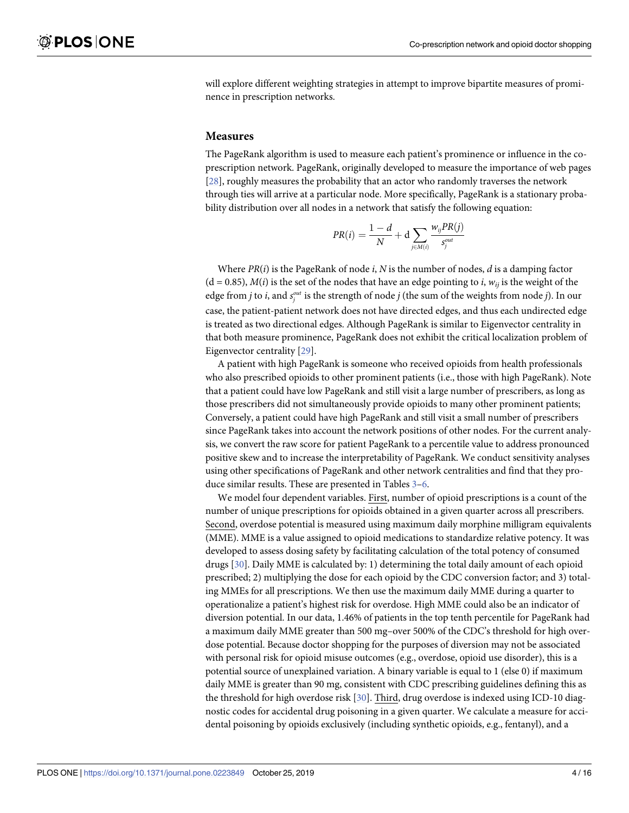<span id="page-3-0"></span>will explore different weighting strategies in attempt to improve bipartite measures of prominence in prescription networks.

#### **Measures**

The PageRank algorithm is used to measure each patient's prominence or influence in the coprescription network. PageRank, originally developed to measure the importance of web pages [\[28\]](#page-14-0), roughly measures the probability that an actor who randomly traverses the network through ties will arrive at a particular node. More specifically, PageRank is a stationary probability distribution over all nodes in a network that satisfy the following equation:

$$
PR(i) = \frac{1-d}{N} + d \sum_{j \in M(i)} \frac{w_{ij} PR(j)}{s_j^{out}}
$$

Where *PR*(*i*) is the PageRank of node *i*, *N* is the number of nodes, *d* is a damping factor  $(d = 0.85)$ ,  $M(i)$  is the set of the nodes that have an edge pointing to *i*,  $w_{ii}$  is the weight of the edge from *j* to *i*, and  $s_j^{out}$  is the strength of node *j* (the sum of the weights from node *j*). In our case, the patient-patient network does not have directed edges, and thus each undirected edge is treated as two directional edges. Although PageRank is similar to Eigenvector centrality in that both measure prominence, PageRank does not exhibit the critical localization problem of Eigenvector centrality [\[29\]](#page-14-0).

A patient with high PageRank is someone who received opioids from health professionals who also prescribed opioids to other prominent patients (i.e., those with high PageRank). Note that a patient could have low PageRank and still visit a large number of prescribers, as long as those prescribers did not simultaneously provide opioids to many other prominent patients; Conversely, a patient could have high PageRank and still visit a small number of prescribers since PageRank takes into account the network positions of other nodes. For the current analysis, we convert the raw score for patient PageRank to a percentile value to address pronounced positive skew and to increase the interpretability of PageRank. We conduct sensitivity analyses using other specifications of PageRank and other network centralities and find that they produce similar results. These are presented in Tables [3–](#page-9-0)[6.](#page-12-0)

We model four dependent variables. First, number of opioid prescriptions is a count of the number of unique prescriptions for opioids obtained in a given quarter across all prescribers. Second, overdose potential is measured using maximum daily morphine milligram equivalents (MME). MME is a value assigned to opioid medications to standardize relative potency. It was developed to assess dosing safety by facilitating calculation of the total potency of consumed drugs [\[30\]](#page-15-0). Daily MME is calculated by: 1) determining the total daily amount of each opioid prescribed; 2) multiplying the dose for each opioid by the CDC conversion factor; and 3) totaling MMEs for all prescriptions. We then use the maximum daily MME during a quarter to operationalize a patient's highest risk for overdose. High MME could also be an indicator of diversion potential. In our data, 1.46% of patients in the top tenth percentile for PageRank had a maximum daily MME greater than 500 mg–over 500% of the CDC's threshold for high overdose potential. Because doctor shopping for the purposes of diversion may not be associated with personal risk for opioid misuse outcomes (e.g., overdose, opioid use disorder), this is a potential source of unexplained variation. A binary variable is equal to 1 (else 0) if maximum daily MME is greater than 90 mg, consistent with CDC prescribing guidelines defining this as the threshold for high overdose risk [\[30\]](#page-15-0). Third, drug overdose is indexed using ICD-10 diagnostic codes for accidental drug poisoning in a given quarter. We calculate a measure for accidental poisoning by opioids exclusively (including synthetic opioids, e.g., fentanyl), and a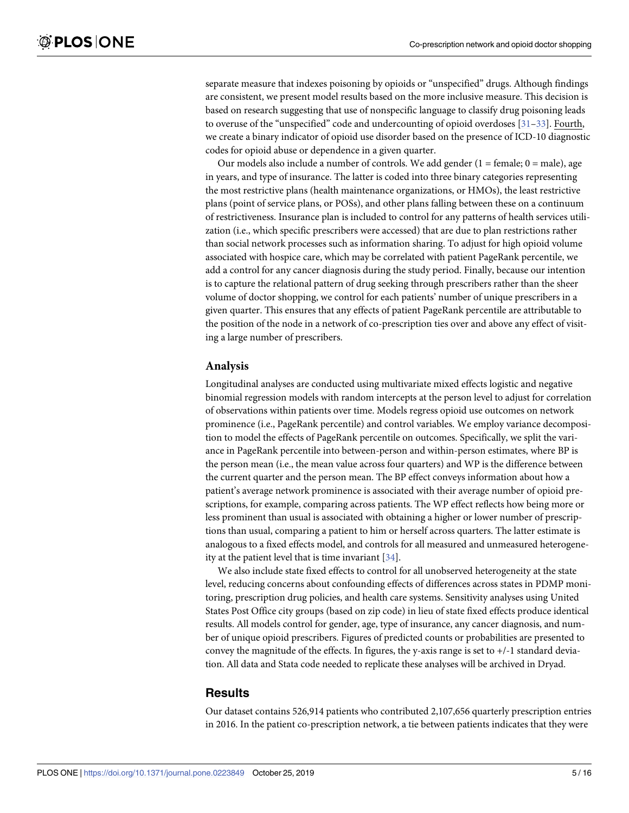<span id="page-4-0"></span>separate measure that indexes poisoning by opioids or "unspecified" drugs. Although findings are consistent, we present model results based on the more inclusive measure. This decision is based on research suggesting that use of nonspecific language to classify drug poisoning leads to overuse of the "unspecified" code and undercounting of opioid overdoses [31-33]. Fourth, we create a binary indicator of opioid use disorder based on the presence of ICD-10 diagnostic codes for opioid abuse or dependence in a given quarter.

Our models also include a number of controls. We add gender  $(1 = female; 0 = male)$ , age in years, and type of insurance. The latter is coded into three binary categories representing the most restrictive plans (health maintenance organizations, or HMOs), the least restrictive plans (point of service plans, or POSs), and other plans falling between these on a continuum of restrictiveness. Insurance plan is included to control for any patterns of health services utilization (i.e., which specific prescribers were accessed) that are due to plan restrictions rather than social network processes such as information sharing. To adjust for high opioid volume associated with hospice care, which may be correlated with patient PageRank percentile, we add a control for any cancer diagnosis during the study period. Finally, because our intention is to capture the relational pattern of drug seeking through prescribers rather than the sheer volume of doctor shopping, we control for each patients' number of unique prescribers in a given quarter. This ensures that any effects of patient PageRank percentile are attributable to the position of the node in a network of co-prescription ties over and above any effect of visiting a large number of prescribers.

#### **Analysis**

Longitudinal analyses are conducted using multivariate mixed effects logistic and negative binomial regression models with random intercepts at the person level to adjust for correlation of observations within patients over time. Models regress opioid use outcomes on network prominence (i.e., PageRank percentile) and control variables. We employ variance decomposition to model the effects of PageRank percentile on outcomes. Specifically, we split the variance in PageRank percentile into between-person and within-person estimates, where BP is the person mean (i.e., the mean value across four quarters) and WP is the difference between the current quarter and the person mean. The BP effect conveys information about how a patient's average network prominence is associated with their average number of opioid prescriptions, for example, comparing across patients. The WP effect reflects how being more or less prominent than usual is associated with obtaining a higher or lower number of prescriptions than usual, comparing a patient to him or herself across quarters. The latter estimate is analogous to a fixed effects model, and controls for all measured and unmeasured heterogeneity at the patient level that is time invariant [\[34\]](#page-15-0).

We also include state fixed effects to control for all unobserved heterogeneity at the state level, reducing concerns about confounding effects of differences across states in PDMP monitoring, prescription drug policies, and health care systems. Sensitivity analyses using United States Post Office city groups (based on zip code) in lieu of state fixed effects produce identical results. All models control for gender, age, type of insurance, any cancer diagnosis, and number of unique opioid prescribers. Figures of predicted counts or probabilities are presented to convey the magnitude of the effects. In figures, the y-axis range is set to  $+/-1$  standard deviation. All data and Stata code needed to replicate these analyses will be archived in Dryad.

#### **Results**

Our dataset contains 526,914 patients who contributed 2,107,656 quarterly prescription entries in 2016. In the patient co-prescription network, a tie between patients indicates that they were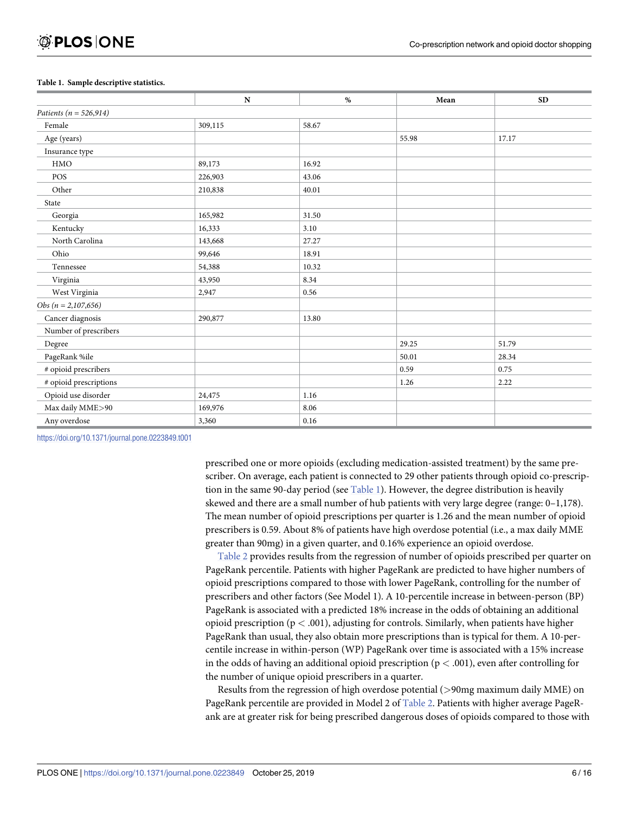#### <span id="page-5-0"></span>**Table 1. Sample descriptive statistics.**

|                            | ${\bf N}$ | $\%$  | Mean  | <b>SD</b> |
|----------------------------|-----------|-------|-------|-----------|
| Patients ( $n = 526,914$ ) |           |       |       |           |
| Female                     | 309,115   | 58.67 |       |           |
| Age (years)                |           |       | 55.98 | 17.17     |
| Insurance type             |           |       |       |           |
| HMO                        | 89,173    | 16.92 |       |           |
| POS                        | 226,903   | 43.06 |       |           |
| Other                      | 210,838   | 40.01 |       |           |
| State                      |           |       |       |           |
| Georgia                    | 165,982   | 31.50 |       |           |
| Kentucky                   | 16,333    | 3.10  |       |           |
| North Carolina             | 143,668   | 27.27 |       |           |
| Ohio                       | 99,646    | 18.91 |       |           |
| Tennessee                  | 54,388    | 10.32 |       |           |
| Virginia                   | 43,950    | 8.34  |       |           |
| West Virginia              | 2,947     | 0.56  |       |           |
| Obs $(n = 2, 107, 656)$    |           |       |       |           |
| Cancer diagnosis           | 290,877   | 13.80 |       |           |
| Number of prescribers      |           |       |       |           |
| Degree                     |           |       | 29.25 | 51.79     |
| PageRank %ile              |           |       | 50.01 | 28.34     |
| # opioid prescribers       |           |       | 0.59  | 0.75      |
| # opioid prescriptions     |           |       | 1.26  | 2.22      |
| Opioid use disorder        | 24,475    | 1.16  |       |           |
| Max daily MME>90           | 169,976   | 8.06  |       |           |
| Any overdose               | 3,360     | 0.16  |       |           |

<https://doi.org/10.1371/journal.pone.0223849.t001>

prescribed one or more opioids (excluding medication-assisted treatment) by the same prescriber. On average, each patient is connected to 29 other patients through opioid co-prescription in the same 90-day period (see Table 1). However, the degree distribution is heavily skewed and there are a small number of hub patients with very large degree (range: 0–1,178). The mean number of opioid prescriptions per quarter is 1.26 and the mean number of opioid prescribers is 0.59. About 8% of patients have high overdose potential (i.e., a max daily MME greater than 90mg) in a given quarter, and 0.16% experience an opioid overdose.

[Table](#page-6-0) 2 provides results from the regression of number of opioids prescribed per quarter on PageRank percentile. Patients with higher PageRank are predicted to have higher numbers of opioid prescriptions compared to those with lower PageRank, controlling for the number of prescribers and other factors (See Model 1). A 10-percentile increase in between-person (BP) PageRank is associated with a predicted 18% increase in the odds of obtaining an additional opioid prescription (p *<* .001), adjusting for controls. Similarly, when patients have higher PageRank than usual, they also obtain more prescriptions than is typical for them. A 10-percentile increase in within-person (WP) PageRank over time is associated with a 15% increase in the odds of having an additional opioid prescription (p *<* .001), even after controlling for the number of unique opioid prescribers in a quarter.

Results from the regression of high overdose potential (*>*90mg maximum daily MME) on PageRank percentile are provided in Model 2 of [Table](#page-6-0) 2. Patients with higher average PageRank are at greater risk for being prescribed dangerous doses of opioids compared to those with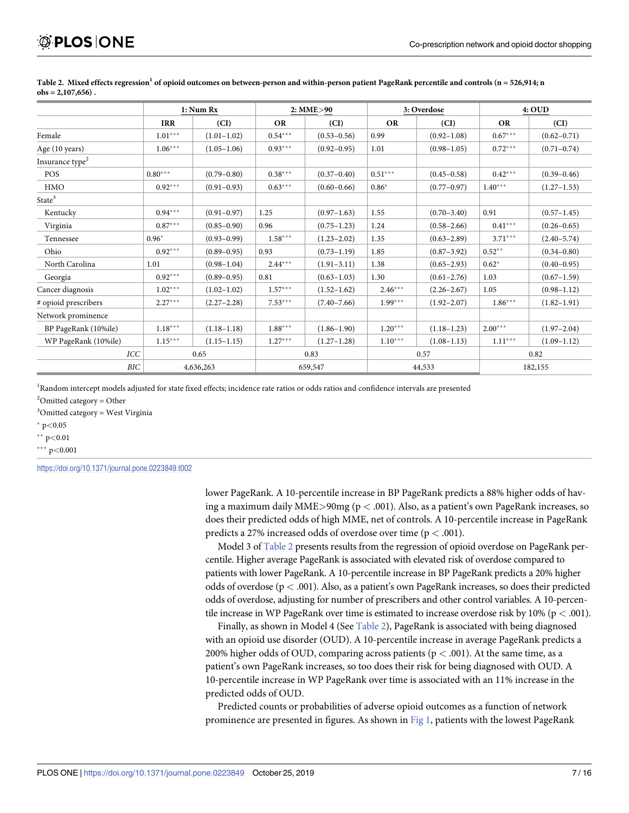|                             | 1: Num Rx  |                 | 2: MME>90 |                 | 3: Overdose |                 | 4:OUD     |                 |
|-----------------------------|------------|-----------------|-----------|-----------------|-------------|-----------------|-----------|-----------------|
|                             | <b>IRR</b> | (CI)            | <b>OR</b> | (CI)            | <b>OR</b>   | (CI)            | <b>OR</b> | (CI)            |
| Female                      | $1.01***$  | $(1.01 - 1.02)$ | $0.54***$ | $(0.53 - 0.56)$ | 0.99        | $(0.92 - 1.08)$ | $0.67***$ | $(0.62 - 0.71)$ |
| Age (10 years)              | $1.06***$  | $(1.05 - 1.06)$ | $0.93***$ | $(0.92 - 0.95)$ | 1.01        | $(0.98 - 1.05)$ | $0.72***$ | $(0.71 - 0.74)$ |
| Insurance type <sup>2</sup> |            |                 |           |                 |             |                 |           |                 |
| POS                         | $0.80***$  | $(0.79 - 0.80)$ | $0.38***$ | $(0.37 - 0.40)$ | $0.51***$   | $(0.45 - 0.58)$ | $0.42***$ | $(0.39 - 0.46)$ |
| HMO                         | $0.92***$  | $(0.91 - 0.93)$ | $0.63***$ | $(0.60 - 0.66)$ | $0.86*$     | $(0.77 - 0.97)$ | $1.40***$ | $(1.27 - 1.53)$ |
| State <sup>3</sup>          |            |                 |           |                 |             |                 |           |                 |
| Kentucky                    | $0.94***$  | $(0.91 - 0.97)$ | 1.25      | $(0.97-1.63)$   | 1.55        | $(0.70 - 3.40)$ | 0.91      | $(0.57 - 1.45)$ |
| Virginia                    | $0.87***$  | $(0.85 - 0.90)$ | 0.96      | $(0.75 - 1.23)$ | 1.24        | $(0.58 - 2.66)$ | $0.41***$ | $(0.26 - 0.65)$ |
| Tennessee                   | $0.96*$    | $(0.93 - 0.99)$ | $1.58***$ | $(1.23 - 2.02)$ | 1.35        | $(0.63 - 2.89)$ | $3.71***$ | $(2.40 - 5.74)$ |
| Ohio                        | $0.92***$  | $(0.89 - 0.95)$ | 0.93      | $(0.73 - 1.19)$ | 1.85        | $(0.87 - 3.92)$ | $0.52**$  | $(0.34 - 0.80)$ |
| North Carolina              | 1.01       | $(0.98 - 1.04)$ | $2.44***$ | $(1.91 - 3.11)$ | 1.38        | $(0.65 - 2.93)$ | $0.62*$   | $(0.40 - 0.95)$ |
| Georgia                     | $0.92***$  | $(0.89 - 0.95)$ | 0.81      | $(0.63 - 1.03)$ | 1.30        | $(0.61 - 2.76)$ | 1.03      | $(0.67 - 1.59)$ |
| Cancer diagnosis            | $1.02***$  | $(1.02 - 1.02)$ | $1.57***$ | $(1.52 - 1.62)$ | $2.46***$   | $(2.26 - 2.67)$ | 1.05      | $(0.98 - 1.12)$ |
| # opioid prescribers        | $2.27***$  | $(2.27 - 2.28)$ | $7.53***$ | $(7.40 - 7.66)$ | $1.99***$   | $(1.92 - 2.07)$ | $1.86***$ | $(1.82 - 1.91)$ |
| Network prominence          |            |                 |           |                 |             |                 |           |                 |
| BP PageRank (10%ile)        | $1.18***$  | $(1.18 - 1.18)$ | $1.88***$ | $(1.86 - 1.90)$ | $1.20***$   | $(1.18 - 1.23)$ | $2.00***$ | $(1.97 - 2.04)$ |
| WP PageRank (10%ile)        | $1.15***$  | $(1.15 - 1.15)$ | $1.27***$ | $(1.27 - 1.28)$ | $1.10***$   | $(1.08 - 1.13)$ | $1.11***$ | $(1.09 - 1.12)$ |
| ICC                         |            | 0.65            | 0.83      |                 | 0.57        |                 | 0.82      |                 |
| BIC                         |            | 4,636,263       |           | 659,547         |             | 44,533          |           | 182,155         |

<span id="page-6-0"></span>[Table](#page-5-0) 2. Mixed effects regression<sup>1</sup> of opioid outcomes on between-person and within-person patient PageRank percentile and controls ( $n = 526,914$ ; n **obs = 2,107,656) .**

<sup>1</sup>Random intercept models adjusted for state fixed effects; incidence rate ratios or odds ratios and confidence intervals are presented

 $2$ Omitted category = Other

<sup>3</sup>Omitted category = West Virginia

� p*<*0.05

�� p*<*0.01

��� p*<*0.001

<https://doi.org/10.1371/journal.pone.0223849.t002>

lower PageRank. A 10-percentile increase in BP PageRank predicts a 88% higher odds of having a maximum daily MME*>*90mg (p *<* .001). Also, as a patient's own PageRank increases, so does their predicted odds of high MME, net of controls. A 10-percentile increase in PageRank predicts a 27% increased odds of overdose over time (p *<* .001).

Model 3 of Table 2 presents results from the regression of opioid overdose on PageRank percentile. Higher average PageRank is associated with elevated risk of overdose compared to patients with lower PageRank. A 10-percentile increase in BP PageRank predicts a 20% higher odds of overdose (p *<* .001). Also, as a patient's own PageRank increases, so does their predicted odds of overdose, adjusting for number of prescribers and other control variables. A 10-percentile increase in WP PageRank over time is estimated to increase overdose risk by 10% (p *<* .001).

Finally, as shown in Model 4 (See Table 2), PageRank is associated with being diagnosed with an opioid use disorder (OUD). A 10-percentile increase in average PageRank predicts a 200% higher odds of OUD, comparing across patients (p *<* .001). At the same time, as a patient's own PageRank increases, so too does their risk for being diagnosed with OUD. A 10-percentile increase in WP PageRank over time is associated with an 11% increase in the predicted odds of OUD.

Predicted counts or probabilities of adverse opioid outcomes as a function of network prominence are presented in figures. As shown in [Fig](#page-7-0) 1, patients with the lowest PageRank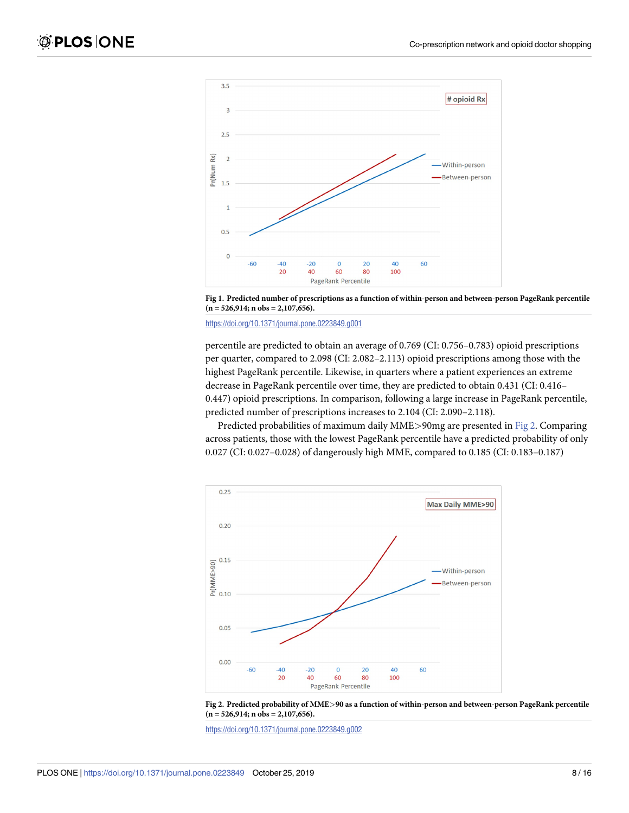<span id="page-7-0"></span>



<https://doi.org/10.1371/journal.pone.0223849.g001>

percentile are predicted to obtain an average of 0.769 (CI: 0.756–0.783) opioid prescriptions per quarter, compared to 2.098 (CI: 2.082–2.113) opioid prescriptions among those with the highest PageRank percentile. Likewise, in quarters where a patient experiences an extreme decrease in PageRank percentile over time, they are predicted to obtain 0.431 (CI: 0.416– 0.447) opioid prescriptions. In comparison, following a large increase in PageRank percentile, predicted number of prescriptions increases to 2.104 (CI: 2.090–2.118).

Predicted probabilities of maximum daily MME*>*90mg are presented in Fig 2. Comparing across patients, those with the lowest PageRank percentile have a predicted probability of only 0.027 (CI: 0.027–0.028) of dangerously high MME, compared to 0.185 (CI: 0.183–0.187)





<https://doi.org/10.1371/journal.pone.0223849.g002>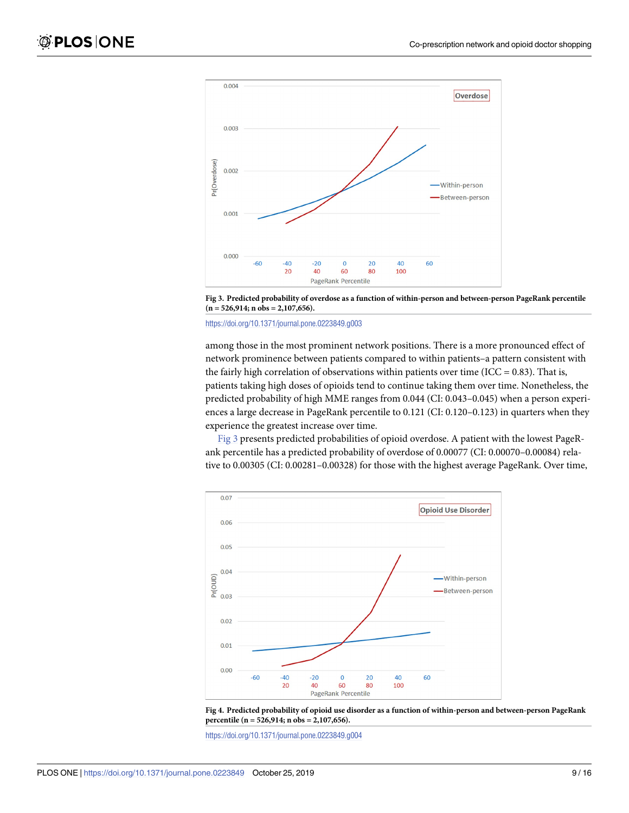<span id="page-8-0"></span>



#### <https://doi.org/10.1371/journal.pone.0223849.g003>

among those in the most prominent network positions. There is a more pronounced effect of network prominence between patients compared to within patients–a pattern consistent with the fairly high correlation of observations within patients over time (ICC =  $0.83$ ). That is, patients taking high doses of opioids tend to continue taking them over time. Nonetheless, the predicted probability of high MME ranges from 0.044 (CI: 0.043–0.045) when a person experiences a large decrease in PageRank percentile to 0.121 (CI: 0.120–0.123) in quarters when they experience the greatest increase over time.

Fig 3 presents predicted probabilities of opioid overdose. A patient with the lowest PageRank percentile has a predicted probability of overdose of 0.00077 (CI: 0.00070–0.00084) relative to 0.00305 (CI: 0.00281–0.00328) for those with the highest average PageRank. Over time,



**[Fig](#page-9-0) 4. Predicted probability of opioid use disorder as a function of within-person and between-person PageRank percentile (n = 526,914; n obs = 2,107,656).**

<https://doi.org/10.1371/journal.pone.0223849.g004>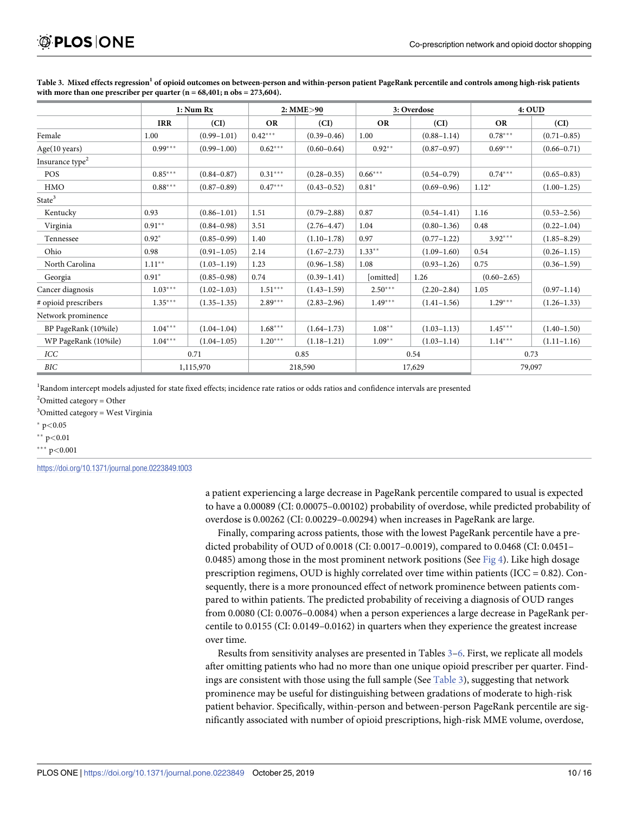|                             | 1: Num Rx  |                 | 2: MME>90 |                 | 3: Overdose |                 | 4:OUD           |                 |
|-----------------------------|------------|-----------------|-----------|-----------------|-------------|-----------------|-----------------|-----------------|
|                             | <b>IRR</b> | (CI)            | <b>OR</b> | (CI)            | <b>OR</b>   | (CI)            | <b>OR</b>       | (CI)            |
| Female                      | 1.00       | $(0.99 - 1.01)$ | $0.42***$ | $(0.39 - 0.46)$ | 1.00        | $(0.88 - 1.14)$ | $0.78***$       | $(0.71 - 0.85)$ |
| Age(10 years)               | $0.99***$  | $(0.99 - 1.00)$ | $0.62***$ | $(0.60 - 0.64)$ | $0.92**$    | $(0.87 - 0.97)$ | $0.69***$       | $(0.66 - 0.71)$ |
| Insurance type <sup>2</sup> |            |                 |           |                 |             |                 |                 |                 |
| <b>POS</b>                  | $0.85***$  | $(0.84 - 0.87)$ | $0.31***$ | $(0.28 - 0.35)$ | $0.66***$   | $(0.54 - 0.79)$ | $0.74***$       | $(0.65 - 0.83)$ |
| <b>HMO</b>                  | $0.88***$  | $(0.87 - 0.89)$ | $0.47***$ | $(0.43 - 0.52)$ | $0.81*$     | $(0.69 - 0.96)$ | $1.12*$         | $(1.00 - 1.25)$ |
| State <sup>3</sup>          |            |                 |           |                 |             |                 |                 |                 |
| Kentucky                    | 0.93       | $(0.86 - 1.01)$ | 1.51      | $(0.79 - 2.88)$ | 0.87        | $(0.54 - 1.41)$ | 1.16            | $(0.53 - 2.56)$ |
| Virginia                    | $0.91**$   | $(0.84 - 0.98)$ | 3.51      | $(2.76 - 4.47)$ | 1.04        | $(0.80 - 1.36)$ | 0.48            | $(0.22 - 1.04)$ |
| Tennessee                   | $0.92*$    | $(0.85 - 0.99)$ | 1.40      | $(1.10-1.78)$   | 0.97        | $(0.77 - 1.22)$ | $3.92***$       | $(1.85 - 8.29)$ |
| Ohio                        | 0.98       | $(0.91 - 1.05)$ | 2.14      | $(1.67 - 2.73)$ | $1.33**$    | $(1.09-1.60)$   | 0.54            | $(0.26 - 1.15)$ |
| North Carolina              | $1.11***$  | $(1.03 - 1.19)$ | 1.23      | $(0.96 - 1.58)$ | 1.08        | $(0.93 - 1.26)$ | 0.75            | $(0.36 - 1.59)$ |
| Georgia                     | $0.91*$    | $(0.85 - 0.98)$ | 0.74      | $(0.39 - 1.41)$ | [omitted]   | 1.26            | $(0.60 - 2.65)$ |                 |
| Cancer diagnosis            | $1.03***$  | $(1.02 - 1.03)$ | $1.51***$ | $(1.43 - 1.59)$ | $2.50***$   | $(2.20 - 2.84)$ | 1.05            | $(0.97 - 1.14)$ |
| # opioid prescribers        | $1.35***$  | $(1.35 - 1.35)$ | $2.89***$ | $(2.83 - 2.96)$ | $1.49***$   | $(1.41 - 1.56)$ | $1.29***$       | $(1.26 - 1.33)$ |
| Network prominence          |            |                 |           |                 |             |                 |                 |                 |
| BP PageRank (10%ile)        | $1.04***$  | $(1.04 - 1.04)$ | $1.68***$ | $(1.64 - 1.73)$ | $1.08**$    | $(1.03 - 1.13)$ | $1.45***$       | $(1.40 - 1.50)$ |
| WP PageRank (10%ile)        | $1.04***$  | $(1.04 - 1.05)$ | $1.20***$ | $(1.18 - 1.21)$ | $1.09**$    | $(1.03 - 1.14)$ | $1.14***$       | $(1.11 - 1.16)$ |
| ICC                         | 0.71       |                 | 0.85      |                 | 0.54        |                 | 0.73            |                 |
| BIC                         |            | 1,115,970       |           | 218,590         | 17,629      |                 | 79,097          |                 |

<span id="page-9-0"></span>[Table](#page-3-0) 3. Mixed effects regression<sup>1</sup> of opioid outcomes on between-person and within-person patient PageRank percentile and controls among high-risk patients with more than one prescriber per quarter  $(n = 68,401; n \text{ obs} = 273,604)$ .

<sup>1</sup>Random intercept models adjusted for state fixed effects; incidence rate ratios or odds ratios and confidence intervals are presented

 $2$ Omitted category = Other

<sup>3</sup>Omitted category = West Virginia

� p*<*0.05

�� p*<*0.01

��� p*<*0.001

<https://doi.org/10.1371/journal.pone.0223849.t003>

a patient experiencing a large decrease in PageRank percentile compared to usual is expected to have a 0.00089 (CI: 0.00075–0.00102) probability of overdose, while predicted probability of overdose is 0.00262 (CI: 0.00229–0.00294) when increases in PageRank are large.

Finally, comparing across patients, those with the lowest PageRank percentile have a predicted probability of OUD of 0.0018 (CI: 0.0017–0.0019), compared to 0.0468 (CI: 0.0451– 0.0485) among those in the most prominent network positions (See [Fig](#page-8-0) 4). Like high dosage prescription regimens, OUD is highly correlated over time within patients (ICC = 0.82). Consequently, there is a more pronounced effect of network prominence between patients compared to within patients. The predicted probability of receiving a diagnosis of OUD ranges from 0.0080 (CI: 0.0076–0.0084) when a person experiences a large decrease in PageRank percentile to 0.0155 (CI: 0.0149–0.0162) in quarters when they experience the greatest increase over time.

Results from sensitivity analyses are presented in Tables 3–[6](#page-12-0). First, we replicate all models after omitting patients who had no more than one unique opioid prescriber per quarter. Findings are consistent with those using the full sample (See Table 3), suggesting that network prominence may be useful for distinguishing between gradations of moderate to high-risk patient behavior. Specifically, within-person and between-person PageRank percentile are significantly associated with number of opioid prescriptions, high-risk MME volume, overdose,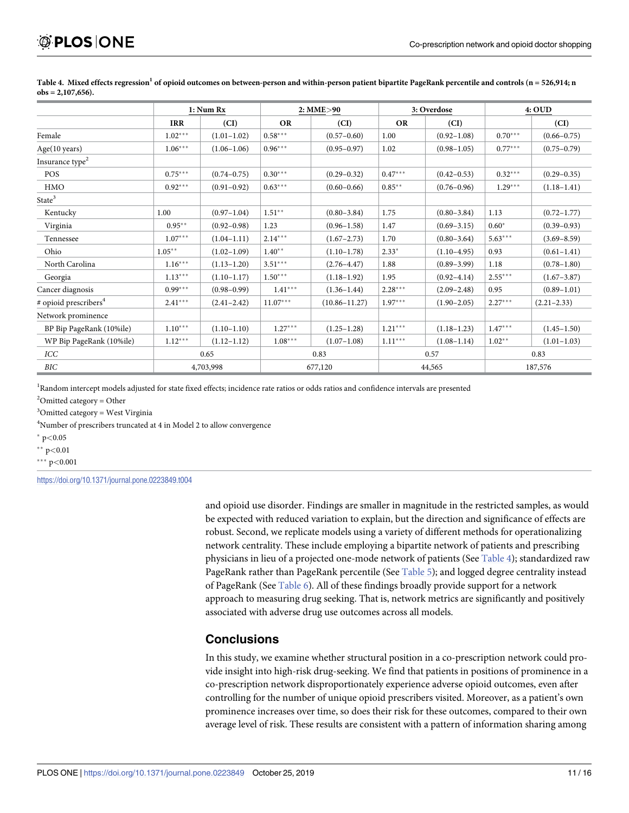|                                   | 1: Num Rx  |                 | 2: MME>90  |                   | 3: Overdose |                 | 4:OUD     |                 |
|-----------------------------------|------------|-----------------|------------|-------------------|-------------|-----------------|-----------|-----------------|
|                                   | <b>IRR</b> | (CI)            | <b>OR</b>  | (CI)              | <b>OR</b>   | (CI)            |           | (CI)            |
| Female                            | $1.02***$  | $(1.01 - 1.02)$ | $0.58***$  | $(0.57 - 0.60)$   | 1.00        | $(0.92 - 1.08)$ | $0.70***$ | $(0.66 - 0.75)$ |
| Age(10 years)                     | $1.06***$  | $(1.06 - 1.06)$ | $0.96***$  | $(0.95 - 0.97)$   | 1.02        | $(0.98 - 1.05)$ | $0.77***$ | $(0.75 - 0.79)$ |
| Insurance type <sup>2</sup>       |            |                 |            |                   |             |                 |           |                 |
| <b>POS</b>                        | $0.75***$  | $(0.74 - 0.75)$ | $0.30***$  | $(0.29 - 0.32)$   | $0.47***$   | $(0.42 - 0.53)$ | $0.32***$ | $(0.29 - 0.35)$ |
| <b>HMO</b>                        | $0.92***$  | $(0.91 - 0.92)$ | $0.63***$  | $(0.60 - 0.66)$   | $0.85***$   | $(0.76 - 0.96)$ | $1.29***$ | $(1.18 - 1.41)$ |
| State <sup>3</sup>                |            |                 |            |                   |             |                 |           |                 |
| Kentucky                          | 1.00       | $(0.97 - 1.04)$ | $1.51**$   | $(0.80 - 3.84)$   | 1.75        | $(0.80 - 3.84)$ | 1.13      | $(0.72 - 1.77)$ |
| Virginia                          | $0.95***$  | $(0.92 - 0.98)$ | 1.23       | $(0.96 - 1.58)$   | 1.47        | $(0.69 - 3.15)$ | $0.60*$   | $(0.39 - 0.93)$ |
| Tennessee                         | $1.07***$  | $(1.04 - 1.11)$ | $2.14***$  | $(1.67 - 2.73)$   | 1.70        | $(0.80 - 3.64)$ | $5.63***$ | $(3.69 - 8.59)$ |
| Ohio                              | $1.05***$  | $(1.02 - 1.09)$ | $1.40**$   | $(1.10-1.78)$     | $2.33*$     | $(1.10-4.95)$   | 0.93      | $(0.61 - 1.41)$ |
| North Carolina                    | $1.16***$  | $(1.13 - 1.20)$ | $3.51***$  | $(2.76 - 4.47)$   | 1.88        | $(0.89 - 3.99)$ | 1.18      | $(0.78 - 1.80)$ |
| Georgia                           | $1.13***$  | $(1.10-1.17)$   | $1.50***$  | $(1.18 - 1.92)$   | 1.95        | $(0.92 - 4.14)$ | $2.55***$ | $(1.67 - 3.87)$ |
| Cancer diagnosis                  | $0.99***$  | $(0.98 - 0.99)$ | $1.41***$  | $(1.36 - 1.44)$   | $2.28***$   | $(2.09 - 2.48)$ | 0.95      | $(0.89 - 1.01)$ |
| # opioid prescribers <sup>4</sup> | $2.41***$  | $(2.41 - 2.42)$ | $11.07***$ | $(10.86 - 11.27)$ | $1.97***$   | $(1.90 - 2.05)$ | $2.27***$ | $(2.21 - 2.33)$ |
| Network prominence                |            |                 |            |                   |             |                 |           |                 |
| BP Bip PageRank (10%ile)          | $1.10***$  | $(1.10-1.10)$   | $1.27***$  | $(1.25 - 1.28)$   | $1.21***$   | $(1.18 - 1.23)$ | $1.47***$ | $(1.45 - 1.50)$ |
| WP Bip PageRank (10%ile)          | $1.12***$  | $(1.12 - 1.12)$ | $1.08***$  | $(1.07-1.08)$     | $1.11***$   | $(1.08 - 1.14)$ | $1.02**$  | $(1.01-1.03)$   |
| ICC                               | 0.65       |                 | 0.83       |                   | 0.57        |                 | 0.83      |                 |
| BIC                               |            | 4,703,998       |            | 677,120           |             | 44,565          |           | 187,576         |

<span id="page-10-0"></span>Table 4. Mixed effects regression<sup>1</sup> of opioid outcomes on between-person and within-person patient bipartite PageRank percentile and controls (n = 526,914; n **obs = 2,107,656).**

<sup>1</sup>Random intercept models adjusted for state fixed effects; incidence rate ratios or odds ratios and confidence intervals are presented

 $2$ Omitted category = Other

<sup>3</sup>Omitted category = West Virginia

<sup>4</sup>Number of prescribers truncated at 4 in Model 2 to allow convergence

� p*<*0.05

�� p*<*0.01

��� p*<*0.001

<https://doi.org/10.1371/journal.pone.0223849.t004>

and opioid use disorder. Findings are smaller in magnitude in the restricted samples, as would be expected with reduced variation to explain, but the direction and significance of effects are robust. Second, we replicate models using a variety of different methods for operationalizing network centrality. These include employing a bipartite network of patients and prescribing physicians in lieu of a projected one-mode network of patients (See Table 4); standardized raw PageRank rather than PageRank percentile (See [Table](#page-11-0) 5); and logged degree centrality instead of PageRank (See [Table](#page-12-0) 6). All of these findings broadly provide support for a network approach to measuring drug seeking. That is, network metrics are significantly and positively associated with adverse drug use outcomes across all models.

## **Conclusions**

In this study, we examine whether structural position in a co-prescription network could provide insight into high-risk drug-seeking. We find that patients in positions of prominence in a co-prescription network disproportionately experience adverse opioid outcomes, even after controlling for the number of unique opioid prescribers visited. Moreover, as a patient's own prominence increases over time, so does their risk for these outcomes, compared to their own average level of risk. These results are consistent with a pattern of information sharing among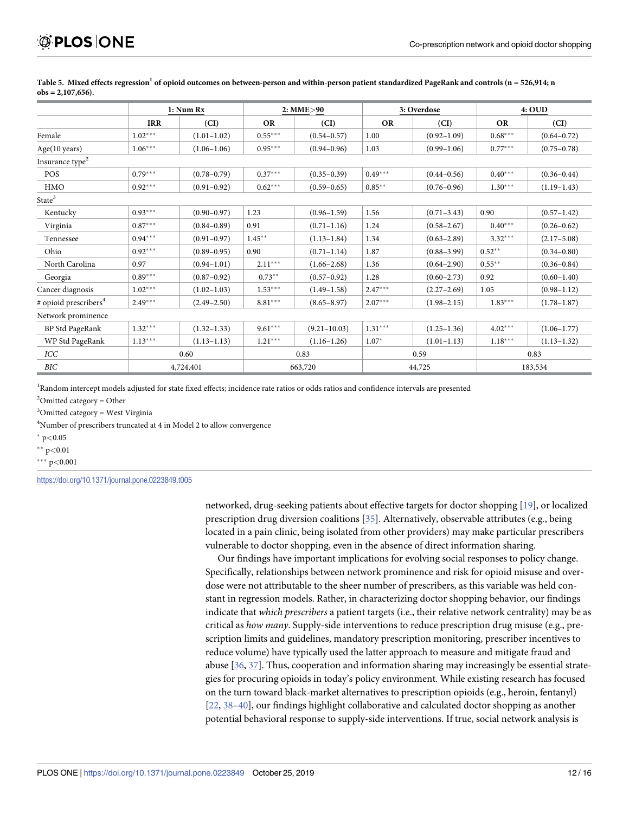|                                   | 1: Num Rx  |                 | 2: MME>90 |                  |           | 3: Overdose     |           | 4:OUD           |  |
|-----------------------------------|------------|-----------------|-----------|------------------|-----------|-----------------|-----------|-----------------|--|
|                                   | <b>IRR</b> | (CI)            | <b>OR</b> | (CI)             | <b>OR</b> | (CI)            | <b>OR</b> | (CI)            |  |
| Female                            | $1.02***$  | $(1.01 - 1.02)$ | $0.55***$ | $(0.54 - 0.57)$  | 1.00      | $(0.92 - 1.09)$ | $0.68***$ | $(0.64 - 0.72)$ |  |
| Age(10 years)                     | $1.06***$  | $(1.06 - 1.06)$ | $0.95***$ | $(0.94 - 0.96)$  | 1.03      | $(0.99 - 1.06)$ | $0.77***$ | $(0.75 - 0.78)$ |  |
| Insurance type <sup>2</sup>       |            |                 |           |                  |           |                 |           |                 |  |
| POS                               | $0.79***$  | $(0.78 - 0.79)$ | $0.37***$ | $(0.35 - 0.39)$  | $0.49***$ | $(0.44 - 0.56)$ | $0.40***$ | $(0.36 - 0.44)$ |  |
| <b>HMO</b>                        | $0.92***$  | $(0.91 - 0.92)$ | $0.62***$ | $(0.59 - 0.65)$  | $0.85***$ | $(0.76 - 0.96)$ | $1.30***$ | $(1.19-1.43)$   |  |
| State <sup>3</sup>                |            |                 |           |                  |           |                 |           |                 |  |
| Kentucky                          | $0.93***$  | $(0.90 - 0.97)$ | 1.23      | $(0.96 - 1.59)$  | 1.56      | $(0.71 - 3.43)$ | 0.90      | $(0.57 - 1.42)$ |  |
| Virginia                          | $0.87***$  | $(0.84 - 0.89)$ | 0.91      | $(0.71 - 1.16)$  | 1.24      | $(0.58 - 2.67)$ | $0.40***$ | $(0.26 - 0.62)$ |  |
| Tennessee                         | $0.94***$  | $(0.91 - 0.97)$ | $1.45***$ | $(1.13 - 1.84)$  | 1.34      | $(0.63 - 2.89)$ | $3.32***$ | $(2.17 - 5.08)$ |  |
| Ohio                              | $0.92***$  | $(0.89 - 0.95)$ | 0.90      | $(0.71 - 1.14)$  | 1.87      | $(0.88 - 3.99)$ | $0.52**$  | $(0.34 - 0.80)$ |  |
| North Carolina                    | 0.97       | $(0.94 - 1.01)$ | $2.11***$ | $(1.66 - 2.68)$  | 1.36      | $(0.64 - 2.90)$ | $0.55***$ | $(0.36 - 0.84)$ |  |
| Georgia                           | $0.89***$  | $(0.87 - 0.92)$ | $0.73**$  | $(0.57 - 0.92)$  | 1.28      | $(0.60 - 2.73)$ | 0.92      | $(0.60 - 1.40)$ |  |
| Cancer diagnosis                  | $1.02***$  | $(1.02 - 1.03)$ | $1.53***$ | $(1.49 - 1.58)$  | $2.47***$ | $(2.27 - 2.69)$ | 1.05      | $(0.98 - 1.12)$ |  |
| # opioid prescribers <sup>4</sup> | $2.49***$  | $(2.49 - 2.50)$ | $8.81***$ | $(8.65 - 8.97)$  | $2.07***$ | $(1.98 - 2.15)$ | $1.83***$ | $(1.78 - 1.87)$ |  |
| Network prominence                |            |                 |           |                  |           |                 |           |                 |  |
| BP Std PageRank                   | $1.32***$  | $(1.32 - 1.33)$ | $9.61***$ | $(9.21 - 10.03)$ | $1.31***$ | $(1.25 - 1.36)$ | $4.02***$ | $(1.06 - 1.77)$ |  |
| WP Std PageRank                   | $1.13***$  | $(1.13 - 1.13)$ | $1.21***$ | $(1.16 - 1.26)$  | $1.07*$   | $(1.01 - 1.13)$ | $1.18***$ | $(1.13 - 1.32)$ |  |
| ICC                               | 0.60       |                 | 0.83      |                  | 0.59      |                 | 0.83      |                 |  |
| BIC                               |            | 4,724,401       |           | 663,720          |           | 44,725          |           | 183,534         |  |

<span id="page-11-0"></span>[Table](#page-10-0) 5. Mixed effects regression<sup>1</sup> of opioid outcomes on between-person and within-person patient standardized PageRank and controls ( $n = 526,914$ ; n **obs = 2,107,656).**

<sup>1</sup>Random intercept models adjusted for state fixed effects; incidence rate ratios or odds ratios and confidence intervals are presented

 $2$ Omitted category = Other

<sup>3</sup>Omitted category = West Virginia

<sup>4</sup>Number of prescribers truncated at 4 in Model 2 to allow convergence

� p*<*0.05

�� p*<*0.01

��� p*<*0.001

<https://doi.org/10.1371/journal.pone.0223849.t005>

networked, drug-seeking patients about effective targets for doctor shopping [\[19\]](#page-14-0), or localized prescription drug diversion coalitions [[35](#page-15-0)]. Alternatively, observable attributes (e.g., being located in a pain clinic, being isolated from other providers) may make particular prescribers vulnerable to doctor shopping, even in the absence of direct information sharing.

Our findings have important implications for evolving social responses to policy change. Specifically, relationships between network prominence and risk for opioid misuse and overdose were not attributable to the sheer number of prescribers, as this variable was held constant in regression models. Rather, in characterizing doctor shopping behavior, our findings indicate that *which prescribers* a patient targets (i.e., their relative network centrality) may be as critical as *how many*. Supply-side interventions to reduce prescription drug misuse (e.g., prescription limits and guidelines, mandatory prescription monitoring, prescriber incentives to reduce volume) have typically used the latter approach to measure and mitigate fraud and abuse [\[36,](#page-15-0) [37](#page-15-0)]. Thus, cooperation and information sharing may increasingly be essential strategies for procuring opioids in today's policy environment. While existing research has focused on the turn toward black-market alternatives to prescription opioids (e.g., heroin, fentanyl) [\[22,](#page-14-0) [38–40\]](#page-15-0), our findings highlight collaborative and calculated doctor shopping as another potential behavioral response to supply-side interventions. If true, social network analysis is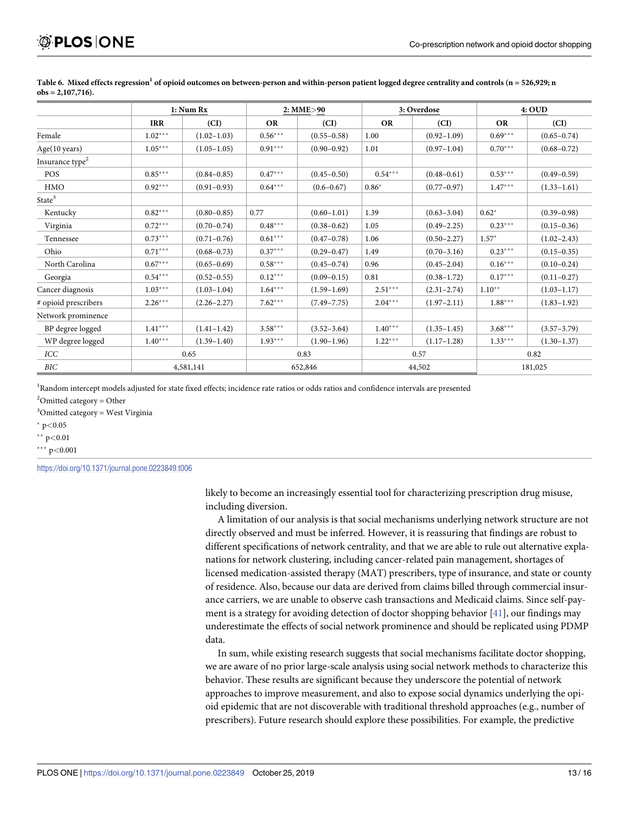|                             | 1: Num Rx  |                 |           | 2: MME>90       |           | 3: Overdose     |           | 4:OUD           |  |
|-----------------------------|------------|-----------------|-----------|-----------------|-----------|-----------------|-----------|-----------------|--|
|                             | <b>IRR</b> | (CI)            | <b>OR</b> | (CI)            | <b>OR</b> | (CI)            | <b>OR</b> | (CI)            |  |
| Female                      | $1.02***$  | $(1.02 - 1.03)$ | $0.56***$ | $(0.55 - 0.58)$ | 1.00      | $(0.92 - 1.09)$ | $0.69***$ | $(0.65 - 0.74)$ |  |
| Age(10 years)               | $1.05***$  | $(1.05 - 1.05)$ | $0.91***$ | $(0.90 - 0.92)$ | 1.01      | $(0.97 - 1.04)$ | $0.70***$ | $(0.68 - 0.72)$ |  |
| Insurance type <sup>2</sup> |            |                 |           |                 |           |                 |           |                 |  |
| POS                         | $0.85***$  | $(0.84 - 0.85)$ | $0.47***$ | $(0.45 - 0.50)$ | $0.54***$ | $(0.48 - 0.61)$ | $0.53***$ | $(0.49 - 0.59)$ |  |
| <b>HMO</b>                  | $0.92***$  | $(0.91 - 0.93)$ | $0.64***$ | $(0.6 - 0.67)$  | $0.86*$   | $(0.77 - 0.97)$ | $1.47***$ | $(1.33 - 1.61)$ |  |
| State <sup>3</sup>          |            |                 |           |                 |           |                 |           |                 |  |
| Kentucky                    | $0.82***$  | $(0.80 - 0.85)$ | 0.77      | $(0.60 - 1.01)$ | 1.39      | $(0.63 - 3.04)$ | $0.62*$   | $(0.39 - 0.98)$ |  |
| Virginia                    | $0.72***$  | $(0.70 - 0.74)$ | $0.48***$ | $(0.38 - 0.62)$ | 1.05      | $(0.49 - 2.25)$ | $0.23***$ | $(0.15 - 0.36)$ |  |
| Tennessee                   | $0.73***$  | $(0.71 - 0.76)$ | $0.61***$ | $(0.47 - 0.78)$ | 1.06      | $(0.50 - 2.27)$ | $1.57*$   | $(1.02 - 2.43)$ |  |
| Ohio                        | $0.71***$  | $(0.68 - 0.73)$ | $0.37***$ | $(0.29 - 0.47)$ | 1.49      | $(0.70 - 3.16)$ | $0.23***$ | $(0.15 - 0.35)$ |  |
| North Carolina              | $0.67***$  | $(0.65 - 0.69)$ | $0.58***$ | $(0.45 - 0.74)$ | 0.96      | $(0.45 - 2.04)$ | $0.16***$ | $(0.10 - 0.24)$ |  |
| Georgia                     | $0.54***$  | $(0.52 - 0.55)$ | $0.12***$ | $(0.09 - 0.15)$ | 0.81      | $(0.38 - 1.72)$ | $0.17***$ | $(0.11 - 0.27)$ |  |
| Cancer diagnosis            | $1.03***$  | $(1.03 - 1.04)$ | $1.64***$ | $(1.59 - 1.69)$ | $2.51***$ | $(2.31 - 2.74)$ | $1.10**$  | $(1.03 - 1.17)$ |  |
| # opioid prescribers        | $2.26***$  | $(2.26 - 2.27)$ | $7.62***$ | $(7.49 - 7.75)$ | $2.04***$ | $(1.97 - 2.11)$ | $1.88***$ | $(1.83 - 1.92)$ |  |
| Network prominence          |            |                 |           |                 |           |                 |           |                 |  |
| BP degree logged            | $1.41***$  | $(1.41 - 1.42)$ | $3.58***$ | $(3.52 - 3.64)$ | $1.40***$ | $(1.35 - 1.45)$ | $3.68***$ | $(3.57 - 3.79)$ |  |
| WP degree logged            | $1.40***$  | $(1.39 - 1.40)$ | $1.93***$ | $(1.90-1.96)$   | $1.22***$ | $(1.17-1.28)$   | $1.33***$ | $(1.30-1.37)$   |  |
| ICC                         | 0.65       |                 | 0.83      |                 | 0.57      |                 | 0.82      |                 |  |
| BIC                         | 4,581,141  |                 |           | 652,846         |           | 44,502          |           | 181,025         |  |

<span id="page-12-0"></span>[Table](#page-3-0) 6. Mixed effects regression<sup>1</sup> of opioid outcomes on between-person and within-person patient logged degree centrality and controls ( $n = 526,929$ ; n **obs = 2,107,716).**

<sup>1</sup>Random intercept models adjusted for state fixed effects; incidence rate ratios or odds ratios and confidence intervals are presented

 $2$ Omitted category = Other

<sup>3</sup>Omitted category = West Virginia

� p*<*0.05

�� p*<*0.01

��� p*<*0.001

<https://doi.org/10.1371/journal.pone.0223849.t006>

likely to become an increasingly essential tool for characterizing prescription drug misuse, including diversion.

A limitation of our analysis is that social mechanisms underlying network structure are not directly observed and must be inferred. However, it is reassuring that findings are robust to different specifications of network centrality, and that we are able to rule out alternative explanations for network clustering, including cancer-related pain management, shortages of licensed medication-assisted therapy (MAT) prescribers, type of insurance, and state or county of residence. Also, because our data are derived from claims billed through commercial insurance carriers, we are unable to observe cash transactions and Medicaid claims. Since self-payment is a strategy for avoiding detection of doctor shopping behavior [\[41\]](#page-15-0), our findings may underestimate the effects of social network prominence and should be replicated using PDMP data.

In sum, while existing research suggests that social mechanisms facilitate doctor shopping, we are aware of no prior large-scale analysis using social network methods to characterize this behavior. These results are significant because they underscore the potential of network approaches to improve measurement, and also to expose social dynamics underlying the opioid epidemic that are not discoverable with traditional threshold approaches (e.g., number of prescribers). Future research should explore these possibilities. For example, the predictive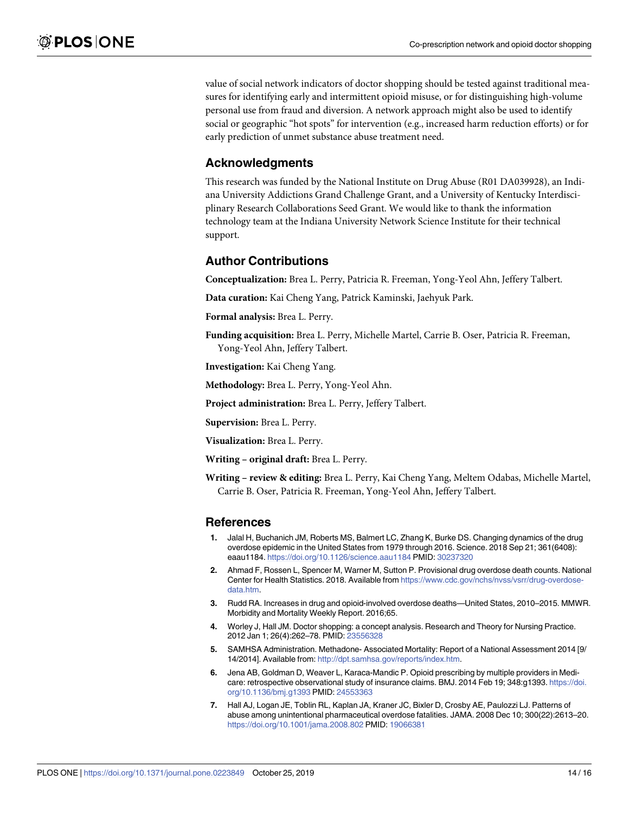<span id="page-13-0"></span>value of social network indicators of doctor shopping should be tested against traditional measures for identifying early and intermittent opioid misuse, or for distinguishing high-volume personal use from fraud and diversion. A network approach might also be used to identify social or geographic "hot spots" for intervention (e.g., increased harm reduction efforts) or for early prediction of unmet substance abuse treatment need.

### **Acknowledgments**

This research was funded by the National Institute on Drug Abuse (R01 DA039928), an Indiana University Addictions Grand Challenge Grant, and a University of Kentucky Interdisciplinary Research Collaborations Seed Grant. We would like to thank the information technology team at the Indiana University Network Science Institute for their technical support.

#### **Author Contributions**

**Conceptualization:** Brea L. Perry, Patricia R. Freeman, Yong-Yeol Ahn, Jeffery Talbert.

**Data curation:** Kai Cheng Yang, Patrick Kaminski, Jaehyuk Park.

**Formal analysis:** Brea L. Perry.

**Funding acquisition:** Brea L. Perry, Michelle Martel, Carrie B. Oser, Patricia R. Freeman, Yong-Yeol Ahn, Jeffery Talbert.

**Investigation:** Kai Cheng Yang.

**Methodology:** Brea L. Perry, Yong-Yeol Ahn.

**Project administration:** Brea L. Perry, Jeffery Talbert.

**Supervision:** Brea L. Perry.

**Visualization:** Brea L. Perry.

**Writing – original draft:** Brea L. Perry.

**Writing – review & editing:** Brea L. Perry, Kai Cheng Yang, Meltem Odabas, Michelle Martel, Carrie B. Oser, Patricia R. Freeman, Yong-Yeol Ahn, Jeffery Talbert.

#### **References**

- **[1](#page-0-0).** Jalal H, Buchanich JM, Roberts MS, Balmert LC, Zhang K, Burke DS. Changing dynamics of the drug overdose epidemic in the United States from 1979 through 2016. Science. 2018 Sep 21; 361(6408): eaau1184. <https://doi.org/10.1126/science.aau1184> PMID: [30237320](http://www.ncbi.nlm.nih.gov/pubmed/30237320)
- **[2](#page-0-0).** Ahmad F, Rossen L, Spencer M, Warner M, Sutton P. Provisional drug overdose death counts. National Center for Health Statistics. 2018. Available from [https://www.cdc.gov/nchs/nvss/vsrr/drug-overdose](https://www.cdc.gov/nchs/nvss/vsrr/drug-overdose-data.htm)[data.htm](https://www.cdc.gov/nchs/nvss/vsrr/drug-overdose-data.htm).
- **[3](#page-0-0).** Rudd RA. Increases in drug and opioid-involved overdose deaths—United States, 2010–2015. MMWR. Morbidity and Mortality Weekly Report. 2016;65.
- **[4](#page-0-0).** Worley J, Hall JM. Doctor shopping: a concept analysis. Research and Theory for Nursing Practice. 2012 Jan 1; 26(4):262–78. PMID: [23556328](http://www.ncbi.nlm.nih.gov/pubmed/23556328)
- **[5](#page-0-0).** SAMHSA Administration. Methadone- Associated Mortality: Report of a National Assessment 2014 [9/ 14/2014]. Available from: [http://dpt.samhsa.gov/reports/index.htm.](http://dpt.samhsa.gov/reports/index.htm)
- **[6](#page-1-0).** Jena AB, Goldman D, Weaver L, Karaca-Mandic P. Opioid prescribing by multiple providers in Medicare: retrospective observational study of insurance claims. BMJ. 2014 Feb 19; 348:g1393. [https://doi.](https://doi.org/10.1136/bmj.g1393) [org/10.1136/bmj.g1393](https://doi.org/10.1136/bmj.g1393) PMID: [24553363](http://www.ncbi.nlm.nih.gov/pubmed/24553363)
- **[7](#page-1-0).** Hall AJ, Logan JE, Toblin RL, Kaplan JA, Kraner JC, Bixler D, Crosby AE, Paulozzi LJ. Patterns of abuse among unintentional pharmaceutical overdose fatalities. JAMA. 2008 Dec 10; 300(22):2613–20. <https://doi.org/10.1001/jama.2008.802> PMID: [19066381](http://www.ncbi.nlm.nih.gov/pubmed/19066381)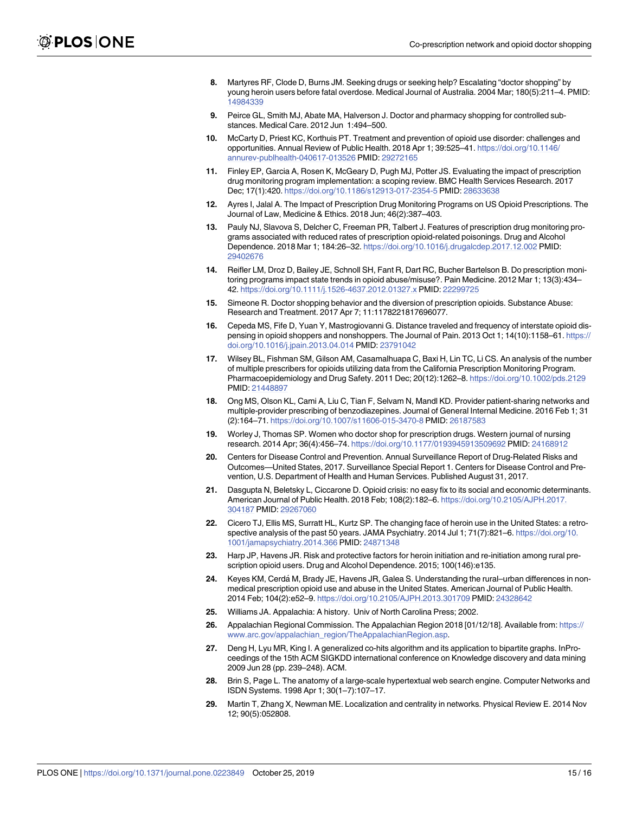- <span id="page-14-0"></span>**[8](#page-1-0).** Martyres RF, Clode D, Burns JM. Seeking drugs or seeking help? Escalating "doctor shopping" by young heroin users before fatal overdose. Medical Journal of Australia. 2004 Mar; 180(5):211–4. PMID: [14984339](http://www.ncbi.nlm.nih.gov/pubmed/14984339)
- **[9](#page-1-0).** Peirce GL, Smith MJ, Abate MA, Halverson J. Doctor and pharmacy shopping for controlled substances. Medical Care. 2012 Jun 1:494–500.
- **[10](#page-1-0).** McCarty D, Priest KC, Korthuis PT. Treatment and prevention of opioid use disorder: challenges and opportunities. Annual Review of Public Health. 2018 Apr 1; 39:525–41. [https://doi.org/10.1146/](https://doi.org/10.1146/annurev-publhealth-040617-013526) [annurev-publhealth-040617-013526](https://doi.org/10.1146/annurev-publhealth-040617-013526) PMID: [29272165](http://www.ncbi.nlm.nih.gov/pubmed/29272165)
- **[11](#page-1-0).** Finley EP, Garcia A, Rosen K, McGeary D, Pugh MJ, Potter JS. Evaluating the impact of prescription drug monitoring program implementation: a scoping review. BMC Health Services Research. 2017 Dec; 17(1):420. <https://doi.org/10.1186/s12913-017-2354-5> PMID: [28633638](http://www.ncbi.nlm.nih.gov/pubmed/28633638)
- **[12](#page-1-0).** Ayres I, Jalal A. The Impact of Prescription Drug Monitoring Programs on US Opioid Prescriptions. The Journal of Law, Medicine & Ethics. 2018 Jun; 46(2):387–403.
- **13.** Pauly NJ, Slavova S, Delcher C, Freeman PR, Talbert J. Features of prescription drug monitoring programs associated with reduced rates of prescription opioid-related poisonings. Drug and Alcohol Dependence. 2018 Mar 1; 184:26–32. <https://doi.org/10.1016/j.drugalcdep.2017.12.002> PMID: [29402676](http://www.ncbi.nlm.nih.gov/pubmed/29402676)
- **14.** Reifler LM, Droz D, Bailey JE, Schnoll SH, Fant R, Dart RC, Bucher Bartelson B. Do prescription monitoring programs impact state trends in opioid abuse/misuse?. Pain Medicine. 2012 Mar 1; 13(3):434– 42. <https://doi.org/10.1111/j.1526-4637.2012.01327.x> PMID: [22299725](http://www.ncbi.nlm.nih.gov/pubmed/22299725)
- **[15](#page-1-0).** Simeone R. Doctor shopping behavior and the diversion of prescription opioids. Substance Abuse: Research and Treatment. 2017 Apr 7; 11:1178221817696077.
- **[16](#page-1-0).** Cepeda MS, Fife D, Yuan Y, Mastrogiovanni G. Distance traveled and frequency of interstate opioid dispensing in opioid shoppers and nonshoppers. The Journal of Pain. 2013 Oct 1; 14(10):1158–61. [https://](https://doi.org/10.1016/j.jpain.2013.04.014) [doi.org/10.1016/j.jpain.2013.04.014](https://doi.org/10.1016/j.jpain.2013.04.014) PMID: [23791042](http://www.ncbi.nlm.nih.gov/pubmed/23791042)
- **[17](#page-1-0).** Wilsey BL, Fishman SM, Gilson AM, Casamalhuapa C, Baxi H, Lin TC, Li CS. An analysis of the number of multiple prescribers for opioids utilizing data from the California Prescription Monitoring Program. Pharmacoepidemiology and Drug Safety. 2011 Dec; 20(12):1262–8. <https://doi.org/10.1002/pds.2129> PMID: [21448897](http://www.ncbi.nlm.nih.gov/pubmed/21448897)
- **[18](#page-1-0).** Ong MS, Olson KL, Cami A, Liu C, Tian F, Selvam N, Mandl KD. Provider patient-sharing networks and multiple-provider prescribing of benzodiazepines. Journal of General Internal Medicine. 2016 Feb 1; 31 (2):164–71. <https://doi.org/10.1007/s11606-015-3470-8> PMID: [26187583](http://www.ncbi.nlm.nih.gov/pubmed/26187583)
- **[19](#page-1-0).** Worley J, Thomas SP. Women who doctor shop for prescription drugs. Western journal of nursing research. 2014 Apr; 36(4):456–74. <https://doi.org/10.1177/0193945913509692> PMID: [24168912](http://www.ncbi.nlm.nih.gov/pubmed/24168912)
- **[20](#page-2-0).** Centers for Disease Control and Prevention. Annual Surveillance Report of Drug-Related Risks and Outcomes—United States, 2017. Surveillance Special Report 1. Centers for Disease Control and Prevention, U.S. Department of Health and Human Services. Published August 31, 2017.
- **[21](#page-2-0).** Dasgupta N, Beletsky L, Ciccarone D. Opioid crisis: no easy fix to its social and economic determinants. American Journal of Public Health. 2018 Feb; 108(2):182–6. [https://doi.org/10.2105/AJPH.2017.](https://doi.org/10.2105/AJPH.2017.304187) [304187](https://doi.org/10.2105/AJPH.2017.304187) PMID: [29267060](http://www.ncbi.nlm.nih.gov/pubmed/29267060)
- **[22](#page-2-0).** Cicero TJ, Ellis MS, Surratt HL, Kurtz SP. The changing face of heroin use in the United States: a retrospective analysis of the past 50 years. JAMA Psychiatry. 2014 Jul 1; 71(7):821–6. [https://doi.org/10.](https://doi.org/10.1001/jamapsychiatry.2014.366) [1001/jamapsychiatry.2014.366](https://doi.org/10.1001/jamapsychiatry.2014.366) PMID: [24871348](http://www.ncbi.nlm.nih.gov/pubmed/24871348)
- **23.** Harp JP, Havens JR. Risk and protective factors for heroin initiation and re-initiation among rural prescription opioid users. Drug and Alcohol Dependence. 2015; 100(146):e135.
- [24](#page-2-0). Keyes KM, Cerdá M, Brady JE, Havens JR, Galea S. Understanding the rural–urban differences in nonmedical prescription opioid use and abuse in the United States. American Journal of Public Health. 2014 Feb; 104(2):e52–9. <https://doi.org/10.2105/AJPH.2013.301709> PMID: [24328642](http://www.ncbi.nlm.nih.gov/pubmed/24328642)
- **[25](#page-2-0).** Williams JA. Appalachia: A history. Univ of North Carolina Press; 2002.
- **[26](#page-2-0).** Appalachian Regional Commission. The Appalachian Region 2018 [01/12/18]. Available from: [https://](https://www.arc.gov/appalachian_region/TheAppalachianRegion.asp) [www.arc.gov/appalachian\\_region/TheAppalachianRegion.asp.](https://www.arc.gov/appalachian_region/TheAppalachianRegion.asp)
- **[27](#page-2-0).** Deng H, Lyu MR, King I. A generalized co-hits algorithm and its application to bipartite graphs. InProceedings of the 15th ACM SIGKDD international conference on Knowledge discovery and data mining 2009 Jun 28 (pp. 239–248). ACM.
- **[28](#page-3-0).** Brin S, Page L. The anatomy of a large-scale hypertextual web search engine. Computer Networks and ISDN Systems. 1998 Apr 1; 30(1–7):107–17.
- **[29](#page-3-0).** Martin T, Zhang X, Newman ME. Localization and centrality in networks. Physical Review E. 2014 Nov 12; 90(5):052808.